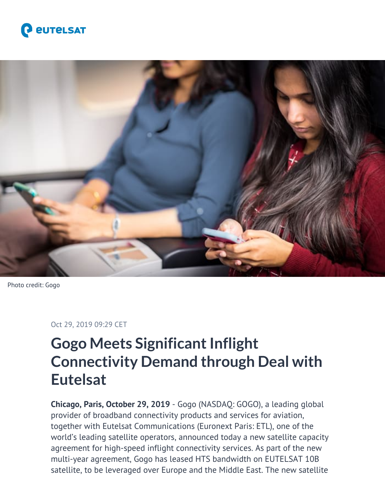



Photo credit: Gogo

#### Oct 29, 2019 09:29 CET

# **Gogo Meets Significant Inflight Connectivity Demand through Deal with Eutelsat**

**Chicago, Paris, October 29, 2019** - Gogo (NASDAQ: GOGO), a leading global provider of broadband connectivity products and services for aviation, together with Eutelsat Communications (Euronext Paris: ETL), one of the world's leading satellite operators, announced today a new satellite capacity agreement for high-speed inflight connectivity services. As part of the new multi-year agreement, Gogo has leased HTS bandwidth on EUTELSAT 10B satellite, to be leveraged over Europe and the Middle East. The new satellite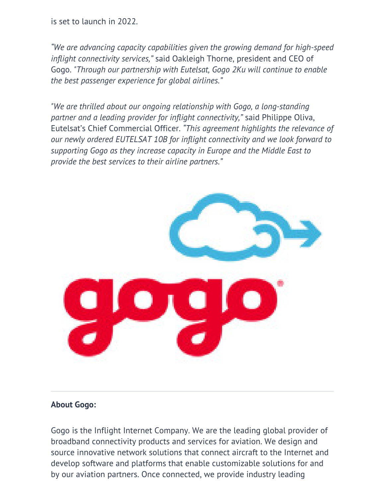is set to launch in 2022.

*"We are advancing capacity capabilities given the growing demand for high-speed inflight connectivity services,"* said Oakleigh Thorne, president and CEO of Gogo. *"Through our partnership with Eutelsat, Gogo 2Ku will continue to enable the best passenger experience for global airlines."*

*"We are thrilled about our ongoing relationship with Gogo, a long-standing partner and a leading provider for inflight connectivity,"* said Philippe Oliva, Eutelsat's Chief Commercial Officer. *"This agreement highlights the relevance of our newly ordered EUTELSAT 10B for inflight connectivity and we look forward to supporting Gogo as they increase capacity in Europe and the Middle East to provide the best services to their airline partners."*



### **About Gogo:**

Gogo is the Inflight Internet Company. We are the leading global provider of broadband connectivity products and services for aviation. We design and source innovative network solutions that connect aircraft to the Internet and develop software and platforms that enable customizable solutions for and by our aviation partners. Once connected, we provide industry leading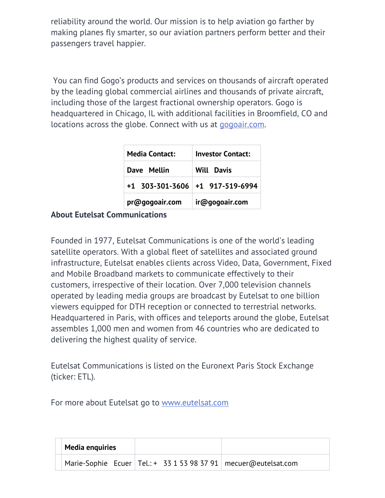reliability around the world. Our mission is to help aviation go farther by making planes fly smarter, so our aviation partners perform better and their passengers travel happier.

 You can find Gogo's products and services on thousands of aircraft operated by the leading global commercial airlines and thousands of private aircraft, including those of the largest fractional ownership operators. Gogo is headquartered in Chicago, IL with additional facilities in Broomfield, CO and locations across the globe. Connect with us at [gogoair.com.](http://gogoair.com/)

| <b>Media Contact:</b> | <b>Investor Contact:</b>          |  |
|-----------------------|-----------------------------------|--|
| Dave Mellin           | <b>Will Davis</b>                 |  |
|                       | $+1$ 303-301-3606 +1 917-519-6994 |  |
| pr@gogoair.com        | ir@gogoair.com                    |  |

## **About Eutelsat Communications**

Founded in 1977, Eutelsat Communications is one of the world's leading satellite operators. With a global fleet of satellites and associated ground infrastructure, Eutelsat enables clients across Video, Data, Government, Fixed and Mobile Broadband markets to communicate effectively to their customers, irrespective of their location. Over 7,000 television channels operated by leading media groups are broadcast by Eutelsat to one billion viewers equipped for DTH reception or connected to terrestrial networks. Headquartered in Paris, with offices and teleports around the globe, Eutelsat assembles 1,000 men and women from 46 countries who are dedicated to delivering the highest quality of service.

Eutelsat Communications is listed on the Euronext Paris Stock Exchange (ticker: ETL).

For more about Eutelsat go to [www.eutelsat.com](http://www.eutelsat.com)

| <b>Media enquiries</b> |  |  |                                                                     |
|------------------------|--|--|---------------------------------------------------------------------|
|                        |  |  | Marie-Sophie Ecuer   Tel.: + 33 1 53 98 37 91   mecuer@eutelsat.com |